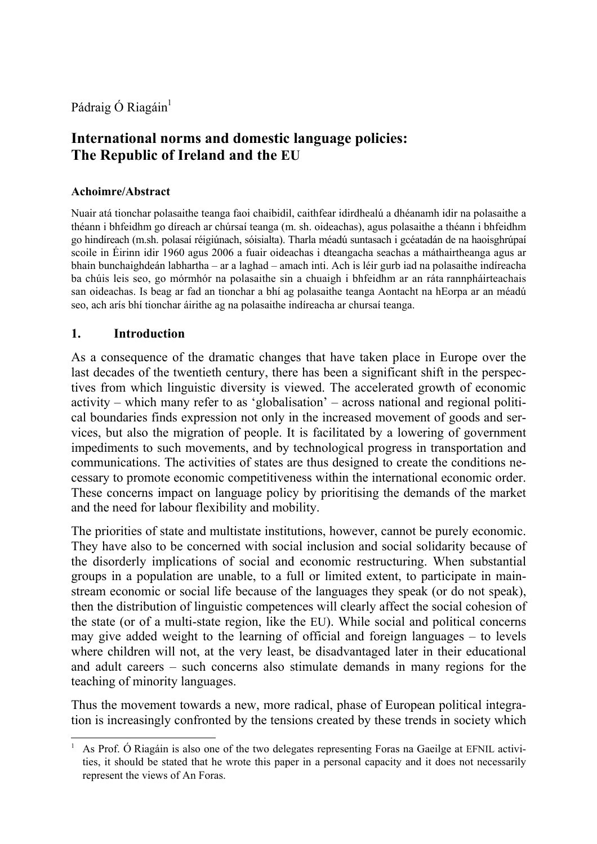Pádraig Ó Riagáin $<sup>1</sup>$ </sup>

# **International norms and domestic language policies: The Republic of Ireland and the EU**

#### **Achoimre/Abstract**

Nuair atá tionchar polasaithe teanga faoi chaibidil, caithfear idirdhealú a dhéanamh idir na polasaithe a théann i bhfeidhm go díreach ar chúrsaí teanga (m. sh. oideachas), agus polasaithe a théann i bhfeidhm go hindíreach (m.sh. polasaí réigiúnach, sóisialta). Tharla méadú suntasach i gcéatadán de na haoisghrúpaí scoile in Éirinn idir 1960 agus 2006 a fuair oideachas i dteangacha seachas a máthairtheanga agus ar bhain bunchaighdeán labhartha – ar a laghad – amach inti. Ach is léir gurb iad na polasaithe indíreacha ba chúis leis seo, go mórmhór na polasaithe sin a chuaigh i bhfeidhm ar an ráta rannpháirteachais san oideachas. Is beag ar fad an tionchar a bhí ag polasaithe teanga Aontacht na hEorpa ar an méadú seo, ach arís bhí tionchar áirithe ag na polasaithe indíreacha ar chursaí teanga.

#### **1. Introduction**

 $\overline{a}$ 

As a consequence of the dramatic changes that have taken place in Europe over the last decades of the twentieth century, there has been a significant shift in the perspectives from which linguistic diversity is viewed. The accelerated growth of economic activity – which many refer to as 'globalisation' – across national and regional political boundaries finds expression not only in the increased movement of goods and services, but also the migration of people. It is facilitated by a lowering of government impediments to such movements, and by technological progress in transportation and communications. The activities of states are thus designed to create the conditions necessary to promote economic competitiveness within the international economic order. These concerns impact on language policy by prioritising the demands of the market and the need for labour flexibility and mobility.

The priorities of state and multistate institutions, however, cannot be purely economic. They have also to be concerned with social inclusion and social solidarity because of the disorderly implications of social and economic restructuring. When substantial groups in a population are unable, to a full or limited extent, to participate in mainstream economic or social life because of the languages they speak (or do not speak), then the distribution of linguistic competences will clearly affect the social cohesion of the state (or of a multi-state region, like the EU). While social and political concerns may give added weight to the learning of official and foreign languages – to levels where children will not, at the very least, be disadvantaged later in their educational and adult careers – such concerns also stimulate demands in many regions for the teaching of minority languages.

Thus the movement towards a new, more radical, phase of European political integration is increasingly confronted by the tensions created by these trends in society which

<sup>1</sup> As Prof. Ó Riagáin is also one of the two delegates representing Foras na Gaeilge at EFNIL activities, it should be stated that he wrote this paper in a personal capacity and it does not necessarily represent the views of An Foras.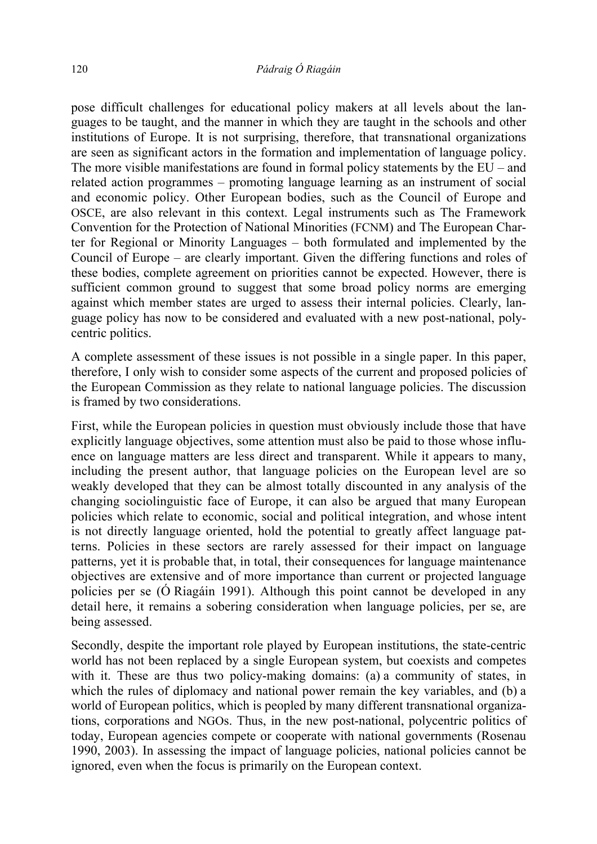pose difficult challenges for educational policy makers at all levels about the languages to be taught, and the manner in which they are taught in the schools and other institutions of Europe. It is not surprising, therefore, that transnational organizations are seen as significant actors in the formation and implementation of language policy. The more visible manifestations are found in formal policy statements by the EU – and related action programmes – promoting language learning as an instrument of social and economic policy. Other European bodies, such as the Council of Europe and OSCE, are also relevant in this context. Legal instruments such as The Framework Convention for the Protection of National Minorities (FCNM) and The European Charter for Regional or Minority Languages – both formulated and implemented by the Council of Europe – are clearly important. Given the differing functions and roles of these bodies, complete agreement on priorities cannot be expected. However, there is sufficient common ground to suggest that some broad policy norms are emerging against which member states are urged to assess their internal policies. Clearly, language policy has now to be considered and evaluated with a new post-national, polycentric politics.

A complete assessment of these issues is not possible in a single paper. In this paper, therefore, I only wish to consider some aspects of the current and proposed policies of the European Commission as they relate to national language policies. The discussion is framed by two considerations.

First, while the European policies in question must obviously include those that have explicitly language objectives, some attention must also be paid to those whose influence on language matters are less direct and transparent. While it appears to many, including the present author, that language policies on the European level are so weakly developed that they can be almost totally discounted in any analysis of the changing sociolinguistic face of Europe, it can also be argued that many European policies which relate to economic, social and political integration, and whose intent is not directly language oriented, hold the potential to greatly affect language patterns. Policies in these sectors are rarely assessed for their impact on language patterns, yet it is probable that, in total, their consequences for language maintenance objectives are extensive and of more importance than current or projected language policies per se (Ó Riagáin 1991). Although this point cannot be developed in any detail here, it remains a sobering consideration when language policies, per se, are being assessed.

Secondly, despite the important role played by European institutions, the state-centric world has not been replaced by a single European system, but coexists and competes with it. These are thus two policy-making domains: (a) a community of states, in which the rules of diplomacy and national power remain the key variables, and (b) a world of European politics, which is peopled by many different transnational organizations, corporations and NGOs. Thus, in the new post-national, polycentric politics of today, European agencies compete or cooperate with national governments (Rosenau 1990, 2003). In assessing the impact of language policies, national policies cannot be ignored, even when the focus is primarily on the European context.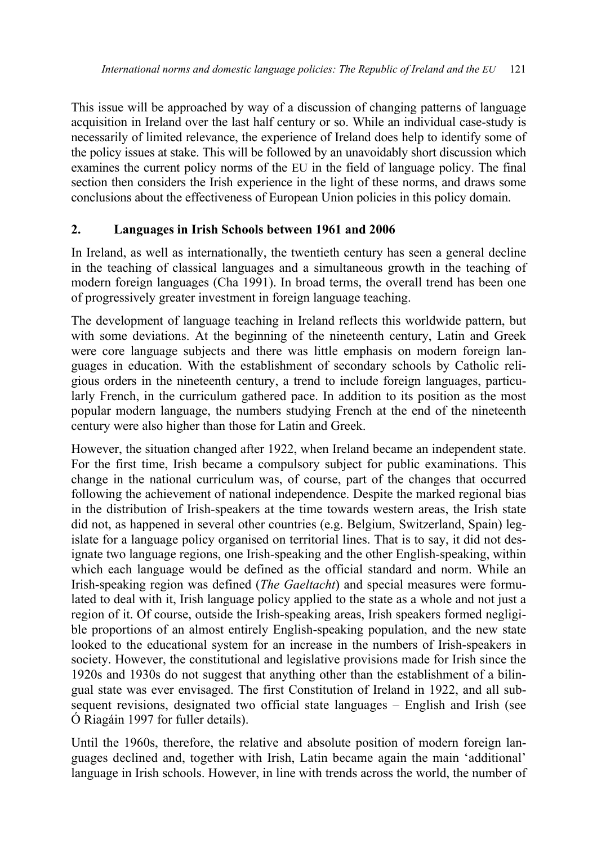This issue will be approached by way of a discussion of changing patterns of language acquisition in Ireland over the last half century or so. While an individual case-study is necessarily of limited relevance, the experience of Ireland does help to identify some of the policy issues at stake. This will be followed by an unavoidably short discussion which examines the current policy norms of the EU in the field of language policy. The final section then considers the Irish experience in the light of these norms, and draws some conclusions about the effectiveness of European Union policies in this policy domain.

### **2. Languages in Irish Schools between 1961 and 2006**

In Ireland, as well as internationally, the twentieth century has seen a general decline in the teaching of classical languages and a simultaneous growth in the teaching of modern foreign languages (Cha 1991). In broad terms, the overall trend has been one of progressively greater investment in foreign language teaching.

The development of language teaching in Ireland reflects this worldwide pattern, but with some deviations. At the beginning of the nineteenth century, Latin and Greek were core language subjects and there was little emphasis on modern foreign languages in education. With the establishment of secondary schools by Catholic religious orders in the nineteenth century, a trend to include foreign languages, particularly French, in the curriculum gathered pace. In addition to its position as the most popular modern language, the numbers studying French at the end of the nineteenth century were also higher than those for Latin and Greek.

However, the situation changed after 1922, when Ireland became an independent state. For the first time, Irish became a compulsory subject for public examinations. This change in the national curriculum was, of course, part of the changes that occurred following the achievement of national independence. Despite the marked regional bias in the distribution of Irish-speakers at the time towards western areas, the Irish state did not, as happened in several other countries (e.g. Belgium, Switzerland, Spain) legislate for a language policy organised on territorial lines. That is to say, it did not designate two language regions, one Irish-speaking and the other English-speaking, within which each language would be defined as the official standard and norm. While an Irish-speaking region was defined (*The Gaeltacht*) and special measures were formulated to deal with it, Irish language policy applied to the state as a whole and not just a region of it. Of course, outside the Irish-speaking areas, Irish speakers formed negligible proportions of an almost entirely English-speaking population, and the new state looked to the educational system for an increase in the numbers of Irish-speakers in society. However, the constitutional and legislative provisions made for Irish since the 1920s and 1930s do not suggest that anything other than the establishment of a bilingual state was ever envisaged. The first Constitution of Ireland in 1922, and all subsequent revisions, designated two official state languages – English and Irish (see Ó Riagáin 1997 for fuller details).

Until the 1960s, therefore, the relative and absolute position of modern foreign languages declined and, together with Irish, Latin became again the main 'additional' language in Irish schools. However, in line with trends across the world, the number of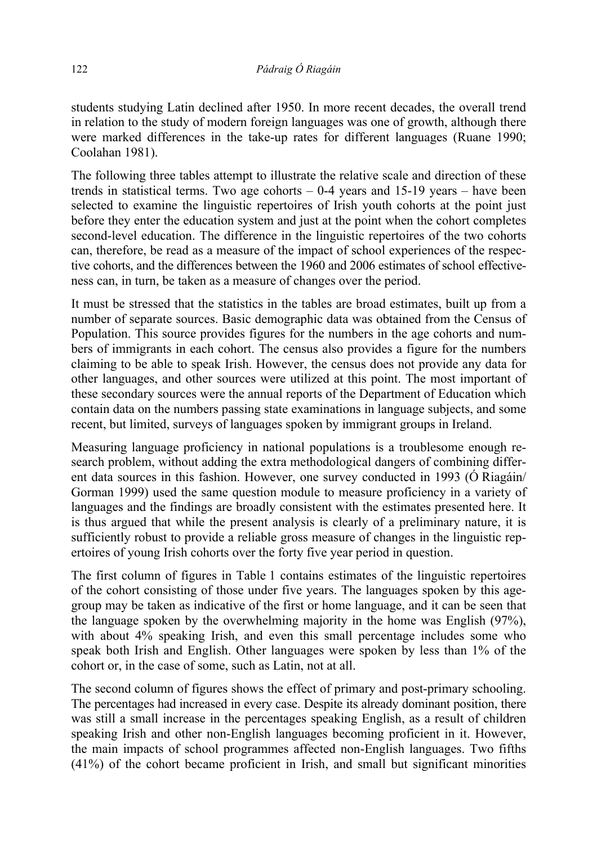students studying Latin declined after 1950. In more recent decades, the overall trend in relation to the study of modern foreign languages was one of growth, although there were marked differences in the take-up rates for different languages (Ruane 1990; Coolahan 1981).

The following three tables attempt to illustrate the relative scale and direction of these trends in statistical terms. Two age cohorts  $-0.4$  years and 15-19 years  $-$  have been selected to examine the linguistic repertoires of Irish youth cohorts at the point just before they enter the education system and just at the point when the cohort completes second-level education. The difference in the linguistic repertoires of the two cohorts can, therefore, be read as a measure of the impact of school experiences of the respective cohorts, and the differences between the 1960 and 2006 estimates of school effectiveness can, in turn, be taken as a measure of changes over the period.

It must be stressed that the statistics in the tables are broad estimates, built up from a number of separate sources. Basic demographic data was obtained from the Census of Population. This source provides figures for the numbers in the age cohorts and numbers of immigrants in each cohort. The census also provides a figure for the numbers claiming to be able to speak Irish. However, the census does not provide any data for other languages, and other sources were utilized at this point. The most important of these secondary sources were the annual reports of the Department of Education which contain data on the numbers passing state examinations in language subjects, and some recent, but limited, surveys of languages spoken by immigrant groups in Ireland.

Measuring language proficiency in national populations is a troublesome enough research problem, without adding the extra methodological dangers of combining different data sources in this fashion. However, one survey conducted in 1993 (Ó Riagáin/ Gorman 1999) used the same question module to measure proficiency in a variety of languages and the findings are broadly consistent with the estimates presented here. It is thus argued that while the present analysis is clearly of a preliminary nature, it is sufficiently robust to provide a reliable gross measure of changes in the linguistic repertoires of young Irish cohorts over the forty five year period in question.

The first column of figures in Table 1 contains estimates of the linguistic repertoires of the cohort consisting of those under five years. The languages spoken by this agegroup may be taken as indicative of the first or home language, and it can be seen that the language spoken by the overwhelming majority in the home was English (97%), with about 4% speaking Irish, and even this small percentage includes some who speak both Irish and English. Other languages were spoken by less than 1% of the cohort or, in the case of some, such as Latin, not at all.

The second column of figures shows the effect of primary and post-primary schooling. The percentages had increased in every case. Despite its already dominant position, there was still a small increase in the percentages speaking English, as a result of children speaking Irish and other non-English languages becoming proficient in it. However, the main impacts of school programmes affected non-English languages. Two fifths (41%) of the cohort became proficient in Irish, and small but significant minorities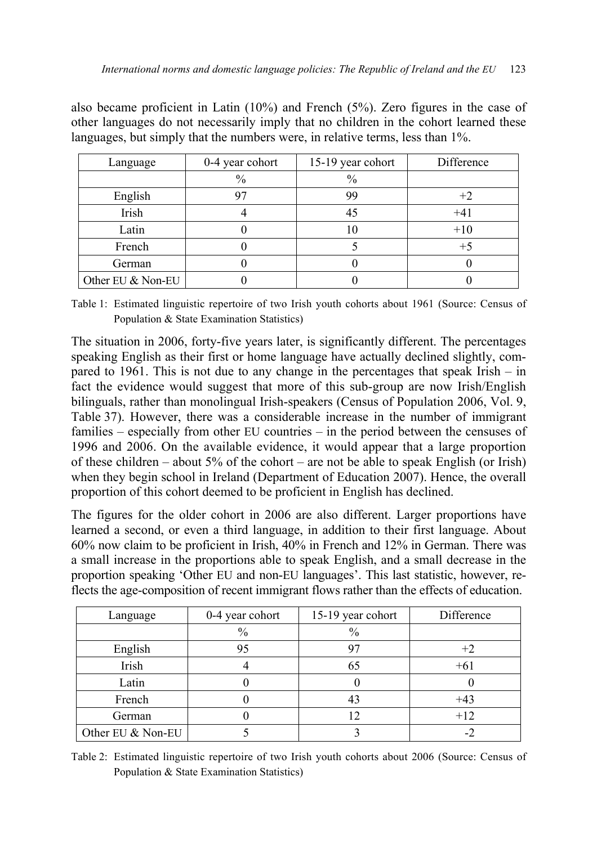also became proficient in Latin (10%) and French (5%). Zero figures in the case of other languages do not necessarily imply that no children in the cohort learned these languages, but simply that the numbers were, in relative terms, less than 1%.

| Language          | 0-4 year cohort | 15-19 year cohort | Difference |
|-------------------|-----------------|-------------------|------------|
|                   | $\frac{0}{0}$   | $\frac{0}{0}$     |            |
| English           |                 | 99                | $+2$       |
| Irish             |                 | 45                | $+41$      |
| Latin             |                 | 10                | $+10$      |
| French            |                 |                   | $+5$       |
| German            |                 |                   |            |
| Other EU & Non-EU |                 |                   |            |

Table 1: Estimated linguistic repertoire of two Irish youth cohorts about 1961 (Source: Census of Population & State Examination Statistics)

The situation in 2006, forty-five years later, is significantly different. The percentages speaking English as their first or home language have actually declined slightly, compared to 1961. This is not due to any change in the percentages that speak Irish – in fact the evidence would suggest that more of this sub-group are now Irish/English bilinguals, rather than monolingual Irish-speakers (Census of Population 2006, Vol. 9, Table 37). However, there was a considerable increase in the number of immigrant families – especially from other EU countries – in the period between the censuses of 1996 and 2006. On the available evidence, it would appear that a large proportion of these children – about 5% of the cohort – are not be able to speak English (or Irish) when they begin school in Ireland (Department of Education 2007). Hence, the overall proportion of this cohort deemed to be proficient in English has declined.

The figures for the older cohort in 2006 are also different. Larger proportions have learned a second, or even a third language, in addition to their first language. About 60% now claim to be proficient in Irish, 40% in French and 12% in German. There was a small increase in the proportions able to speak English, and a small decrease in the proportion speaking 'Other EU and non-EU languages'. This last statistic, however, reflects the age-composition of recent immigrant flows rather than the effects of education.

| Language          | 0-4 year cohort | 15-19 year cohort | Difference |
|-------------------|-----------------|-------------------|------------|
|                   | $\%$            | $\frac{0}{0}$     |            |
| English           | 95              | 97                | $+2$       |
| Irish             |                 | 65                | $+61$      |
| Latin             |                 |                   |            |
| French            |                 | 43                | $+43$      |
| German            |                 |                   | $+12$      |
| Other EU & Non-EU |                 |                   |            |

Table 2: Estimated linguistic repertoire of two Irish youth cohorts about 2006 (Source: Census of Population & State Examination Statistics)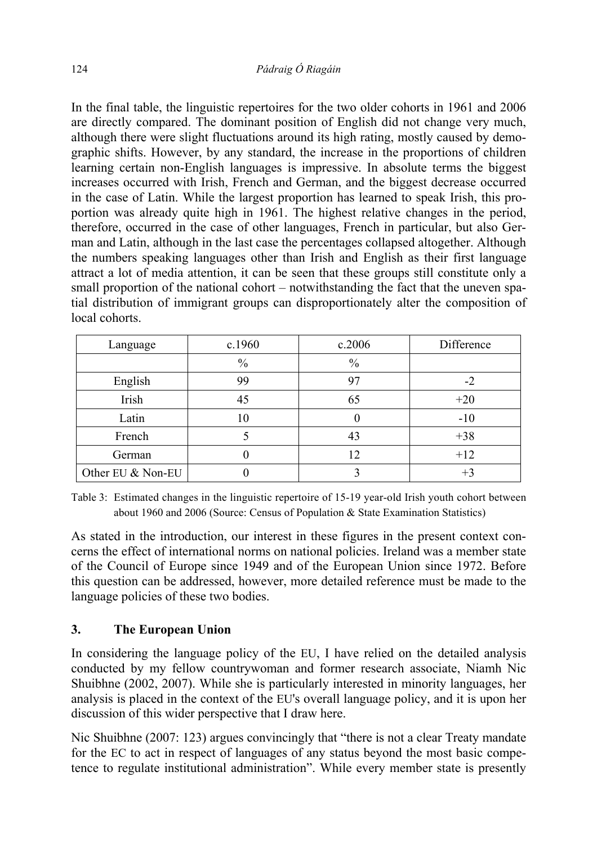In the final table, the linguistic repertoires for the two older cohorts in 1961 and 2006 are directly compared. The dominant position of English did not change very much, although there were slight fluctuations around its high rating, mostly caused by demographic shifts. However, by any standard, the increase in the proportions of children learning certain non-English languages is impressive. In absolute terms the biggest increases occurred with Irish, French and German, and the biggest decrease occurred in the case of Latin. While the largest proportion has learned to speak Irish, this proportion was already quite high in 1961. The highest relative changes in the period, therefore, occurred in the case of other languages, French in particular, but also German and Latin, although in the last case the percentages collapsed altogether. Although the numbers speaking languages other than Irish and English as their first language attract a lot of media attention, it can be seen that these groups still constitute only a small proportion of the national cohort – notwithstanding the fact that the uneven spatial distribution of immigrant groups can disproportionately alter the composition of local cohorts.

| Language          | c.1960        | c.2006        | Difference |
|-------------------|---------------|---------------|------------|
|                   | $\frac{0}{0}$ | $\frac{0}{0}$ |            |
| English           | 99            | 97            | $-2$       |
| Irish             | 45            | 65            | $+20$      |
| Latin             | 10            |               | $-10$      |
| French            |               | 43            | $+38$      |
| German            | O             | 12            | $+12$      |
| Other EU & Non-EU |               |               | $+3$       |

Table 3: Estimated changes in the linguistic repertoire of 15-19 year-old Irish youth cohort between about 1960 and 2006 (Source: Census of Population & State Examination Statistics)

As stated in the introduction, our interest in these figures in the present context concerns the effect of international norms on national policies. Ireland was a member state of the Council of Europe since 1949 and of the European Union since 1972. Before this question can be addressed, however, more detailed reference must be made to the language policies of these two bodies.

# **3. The European Union**

In considering the language policy of the EU, I have relied on the detailed analysis conducted by my fellow countrywoman and former research associate, Niamh Nic Shuibhne (2002, 2007). While she is particularly interested in minority languages, her analysis is placed in the context of the EU's overall language policy, and it is upon her discussion of this wider perspective that I draw here.

Nic Shuibhne (2007: 123) argues convincingly that "there is not a clear Treaty mandate for the EC to act in respect of languages of any status beyond the most basic competence to regulate institutional administration". While every member state is presently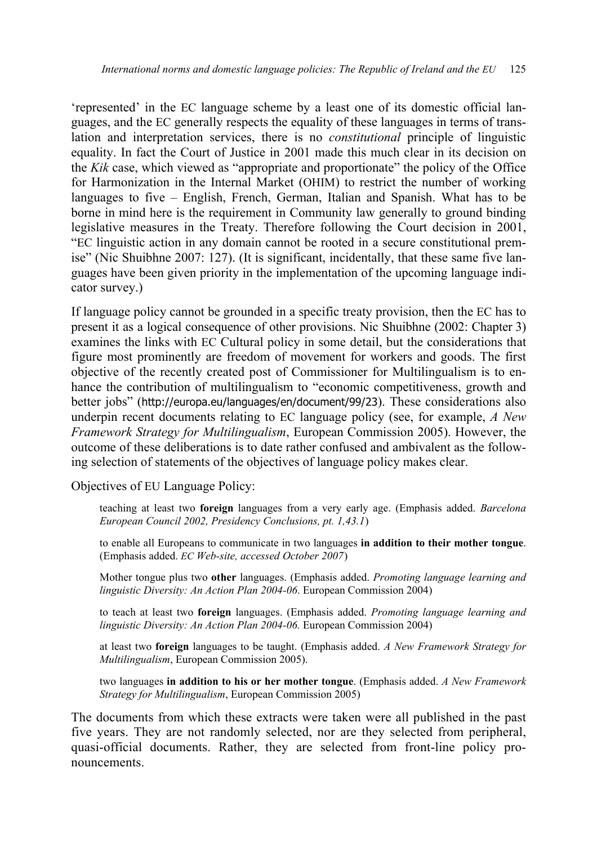'represented' in the EC language scheme by a least one of its domestic official languages, and the EC generally respects the equality of these languages in terms of translation and interpretation services, there is no *constitutional* principle of linguistic equality. In fact the Court of Justice in 2001 made this much clear in its decision on the *Kik* case, which viewed as "appropriate and proportionate" the policy of the Office for Harmonization in the Internal Market (OHIM) to restrict the number of working languages to five – English, French, German, Italian and Spanish. What has to be borne in mind here is the requirement in Community law generally to ground binding legislative measures in the Treaty. Therefore following the Court decision in 2001, "EC linguistic action in any domain cannot be rooted in a secure constitutional premise" (Nic Shuibhne 2007: 127). (It is significant, incidentally, that these same five languages have been given priority in the implementation of the upcoming language indicator survey.)

If language policy cannot be grounded in a specific treaty provision, then the EC has to present it as a logical consequence of other provisions. Nic Shuibhne (2002: Chapter 3) examines the links with EC Cultural policy in some detail, but the considerations that figure most prominently are freedom of movement for workers and goods. The first objective of the recently created post of Commissioner for Multilingualism is to enhance the contribution of multilingualism to "economic competitiveness, growth and better jobs" (http://europa.eu/languages/en/document/99/23). These considerations also underpin recent documents relating to EC language policy (see, for example, *A New Framework Strategy for Multilingualism*, European Commission 2005). However, the outcome of these deliberations is to date rather confused and ambivalent as the following selection of statements of the objectives of language policy makes clear.

Objectives of EU Language Policy:

teaching at least two **foreign** languages from a very early age. (Emphasis added. *Barcelona European Council 2002, Presidency Conclusions, pt. 1,43.1*)

to enable all Europeans to communicate in two languages **in addition to their mother tongue**. (Emphasis added. *EC Web-site, accessed October 2007*)

Mother tongue plus two **other** languages. (Emphasis added. *Promoting language learning and linguistic Diversity: An Action Plan 2004-06*. European Commission 2004)

to teach at least two **foreign** languages. (Emphasis added. *Promoting language learning and linguistic Diversity: An Action Plan 2004-06.* European Commission 2004)

at least two **foreign** languages to be taught. (Emphasis added. *A New Framework Strategy for Multilingualism*, European Commission 2005).

two languages **in addition to his or her mother tongue**. (Emphasis added. *A New Framework Strategy for Multilingualism*, European Commission 2005)

The documents from which these extracts were taken were all published in the past five years. They are not randomly selected, nor are they selected from peripheral, quasi-official documents. Rather, they are selected from front-line policy pronouncements.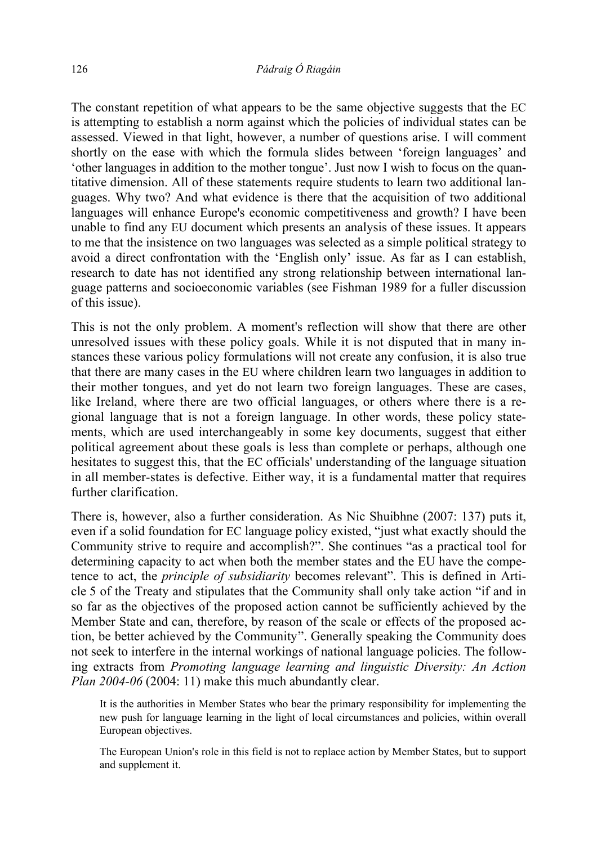The constant repetition of what appears to be the same objective suggests that the EC is attempting to establish a norm against which the policies of individual states can be assessed. Viewed in that light, however, a number of questions arise. I will comment shortly on the ease with which the formula slides between 'foreign languages' and 'other languages in addition to the mother tongue'. Just now I wish to focus on the quantitative dimension. All of these statements require students to learn two additional languages. Why two? And what evidence is there that the acquisition of two additional languages will enhance Europe's economic competitiveness and growth? I have been unable to find any EU document which presents an analysis of these issues. It appears to me that the insistence on two languages was selected as a simple political strategy to avoid a direct confrontation with the 'English only' issue. As far as I can establish, research to date has not identified any strong relationship between international language patterns and socioeconomic variables (see Fishman 1989 for a fuller discussion of this issue).

This is not the only problem. A moment's reflection will show that there are other unresolved issues with these policy goals. While it is not disputed that in many instances these various policy formulations will not create any confusion, it is also true that there are many cases in the EU where children learn two languages in addition to their mother tongues, and yet do not learn two foreign languages. These are cases, like Ireland, where there are two official languages, or others where there is a regional language that is not a foreign language. In other words, these policy statements, which are used interchangeably in some key documents, suggest that either political agreement about these goals is less than complete or perhaps, although one hesitates to suggest this, that the EC officials' understanding of the language situation in all member-states is defective. Either way, it is a fundamental matter that requires further clarification.

There is, however, also a further consideration. As Nic Shuibhne (2007: 137) puts it, even if a solid foundation for EC language policy existed, "just what exactly should the Community strive to require and accomplish?". She continues "as a practical tool for determining capacity to act when both the member states and the EU have the competence to act, the *principle of subsidiarity* becomes relevant". This is defined in Article 5 of the Treaty and stipulates that the Community shall only take action "if and in so far as the objectives of the proposed action cannot be sufficiently achieved by the Member State and can, therefore, by reason of the scale or effects of the proposed action, be better achieved by the Community". Generally speaking the Community does not seek to interfere in the internal workings of national language policies. The following extracts from *Promoting language learning and linguistic Diversity: An Action Plan 2004-06 (2004: 11)* make this much abundantly clear.

It is the authorities in Member States who bear the primary responsibility for implementing the new push for language learning in the light of local circumstances and policies, within overall European objectives.

The European Union's role in this field is not to replace action by Member States, but to support and supplement it.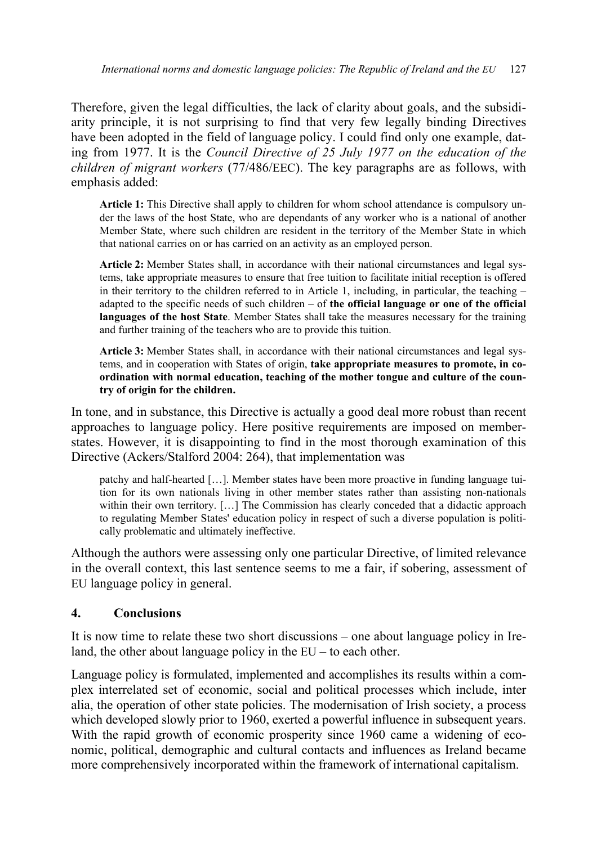Therefore, given the legal difficulties, the lack of clarity about goals, and the subsidiarity principle, it is not surprising to find that very few legally binding Directives have been adopted in the field of language policy. I could find only one example, dating from 1977. It is the *Council Directive of 25 July 1977 on the education of the children of migrant workers* (77/486/EEC). The key paragraphs are as follows, with emphasis added:

**Article 1:** This Directive shall apply to children for whom school attendance is compulsory under the laws of the host State, who are dependants of any worker who is a national of another Member State, where such children are resident in the territory of the Member State in which that national carries on or has carried on an activity as an employed person.

**Article 2:** Member States shall, in accordance with their national circumstances and legal systems, take appropriate measures to ensure that free tuition to facilitate initial reception is offered in their territory to the children referred to in Article 1, including, in particular, the teaching – adapted to the specific needs of such children – of **the official language or one of the official languages of the host State**. Member States shall take the measures necessary for the training and further training of the teachers who are to provide this tuition.

**Article 3:** Member States shall, in accordance with their national circumstances and legal systems, and in cooperation with States of origin, **take appropriate measures to promote, in coordination with normal education, teaching of the mother tongue and culture of the country of origin for the children.** 

In tone, and in substance, this Directive is actually a good deal more robust than recent approaches to language policy. Here positive requirements are imposed on memberstates. However, it is disappointing to find in the most thorough examination of this Directive (Ackers/Stalford 2004: 264), that implementation was

patchy and half-hearted […]. Member states have been more proactive in funding language tuition for its own nationals living in other member states rather than assisting non-nationals within their own territory. [...] The Commission has clearly conceded that a didactic approach to regulating Member States' education policy in respect of such a diverse population is politically problematic and ultimately ineffective.

Although the authors were assessing only one particular Directive, of limited relevance in the overall context, this last sentence seems to me a fair, if sobering, assessment of EU language policy in general.

#### **4. Conclusions**

It is now time to relate these two short discussions – one about language policy in Ireland, the other about language policy in the EU – to each other.

Language policy is formulated, implemented and accomplishes its results within a complex interrelated set of economic, social and political processes which include, inter alia, the operation of other state policies. The modernisation of Irish society, a process which developed slowly prior to 1960, exerted a powerful influence in subsequent years. With the rapid growth of economic prosperity since 1960 came a widening of economic, political, demographic and cultural contacts and influences as Ireland became more comprehensively incorporated within the framework of international capitalism.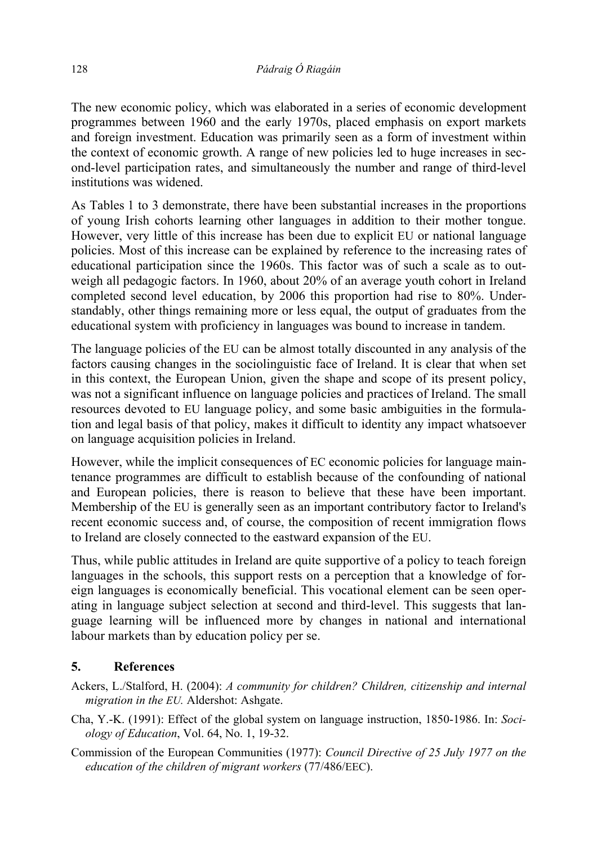The new economic policy, which was elaborated in a series of economic development programmes between 1960 and the early 1970s, placed emphasis on export markets and foreign investment. Education was primarily seen as a form of investment within the context of economic growth. A range of new policies led to huge increases in second-level participation rates, and simultaneously the number and range of third-level institutions was widened.

As Tables 1 to 3 demonstrate, there have been substantial increases in the proportions of young Irish cohorts learning other languages in addition to their mother tongue. However, very little of this increase has been due to explicit EU or national language policies. Most of this increase can be explained by reference to the increasing rates of educational participation since the 1960s. This factor was of such a scale as to outweigh all pedagogic factors. In 1960, about 20% of an average youth cohort in Ireland completed second level education, by 2006 this proportion had rise to 80%. Understandably, other things remaining more or less equal, the output of graduates from the educational system with proficiency in languages was bound to increase in tandem.

The language policies of the EU can be almost totally discounted in any analysis of the factors causing changes in the sociolinguistic face of Ireland. It is clear that when set in this context, the European Union, given the shape and scope of its present policy, was not a significant influence on language policies and practices of Ireland. The small resources devoted to EU language policy, and some basic ambiguities in the formulation and legal basis of that policy, makes it difficult to identity any impact whatsoever on language acquisition policies in Ireland.

However, while the implicit consequences of EC economic policies for language maintenance programmes are difficult to establish because of the confounding of national and European policies, there is reason to believe that these have been important. Membership of the EU is generally seen as an important contributory factor to Ireland's recent economic success and, of course, the composition of recent immigration flows to Ireland are closely connected to the eastward expansion of the EU.

Thus, while public attitudes in Ireland are quite supportive of a policy to teach foreign languages in the schools, this support rests on a perception that a knowledge of foreign languages is economically beneficial. This vocational element can be seen operating in language subject selection at second and third-level. This suggests that language learning will be influenced more by changes in national and international labour markets than by education policy per se.

# **5. References**

- Ackers, L./Stalford, H. (2004): *A community for children? Children, citizenship and internal migration in the EU.* Aldershot: Ashgate.
- Cha, Y.-K. (1991): Effect of the global system on language instruction, 1850-1986. In: *Sociology of Education*, Vol. 64, No. 1, 19-32.
- Commission of the European Communities (1977): *Council Directive of 25 July 1977 on the education of the children of migrant workers* (77/486/EEC).